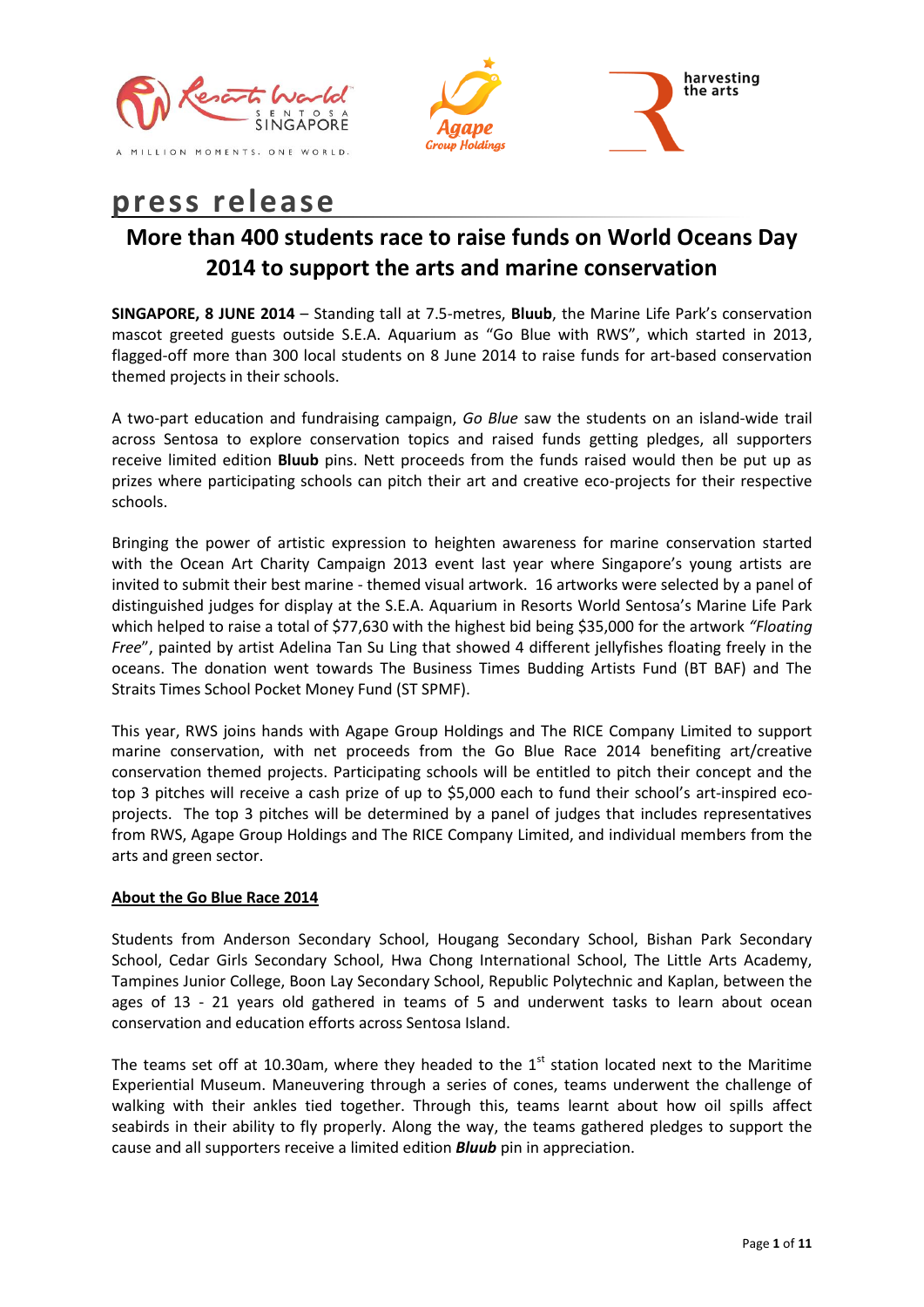



# **press release**

## **More than 400 students race to raise funds on World Oceans Day 2014 to support the arts and marine conservation**

**SINGAPORE, 8 JUNE 2014** – Standing tall at 7.5-metres, **Bluub**, the Marine Life Park's conservation mascot greeted guests outside S.E.A. Aquarium as "Go Blue with RWS", which started in 2013, flagged-off more than 300 local students on 8 June 2014 to raise funds for art-based conservation themed projects in their schools.

A two-part education and fundraising campaign, *Go Blue* saw the students on an island-wide trail across Sentosa to explore conservation topics and raised funds getting pledges, all supporters receive limited edition **Bluub** pins. Nett proceeds from the funds raised would then be put up as prizes where participating schools can pitch their art and creative eco-projects for their respective schools.

Bringing the power of artistic expression to heighten awareness for marine conservation started with the Ocean Art Charity Campaign 2013 event last year where Singapore's young artists are invited to submit their best marine - themed visual artwork. 16 artworks were selected by a panel of distinguished judges for display at the S.E.A. Aquarium in Resorts World Sentosa's Marine Life Park which helped to raise a total of \$77,630 with the highest bid being \$35,000 for the artwork *"Floating Free*", painted by artist Adelina Tan Su Ling that showed 4 different jellyfishes floating freely in the oceans. The donation went towards The Business Times Budding Artists Fund (BT BAF) and The Straits Times School Pocket Money Fund (ST SPMF).

This year, RWS joins hands with Agape Group Holdings and The RICE Company Limited to support marine conservation, with net proceeds from the Go Blue Race 2014 benefiting art/creative conservation themed projects. Participating schools will be entitled to pitch their concept and the top 3 pitches will receive a cash prize of up to \$5,000 each to fund their school's art-inspired ecoprojects. The top 3 pitches will be determined by a panel of judges that includes representatives from RWS, Agape Group Holdings and The RICE Company Limited, and individual members from the arts and green sector.

### **About the Go Blue Race 2014**

Students from Anderson Secondary School, Hougang Secondary School, Bishan Park Secondary School, Cedar Girls Secondary School, Hwa Chong International School, The Little Arts Academy, Tampines Junior College, Boon Lay Secondary School, Republic Polytechnic and Kaplan, between the ages of 13 - 21 years old gathered in teams of 5 and underwent tasks to learn about ocean conservation and education efforts across Sentosa Island.

The teams set off at 10.30am, where they headed to the  $1<sup>st</sup>$  station located next to the Maritime Experiential Museum. Maneuvering through a series of cones, teams underwent the challenge of walking with their ankles tied together. Through this, teams learnt about how oil spills affect seabirds in their ability to fly properly. Along the way, the teams gathered pledges to support the cause and all supporters receive a limited edition *Bluub* pin in appreciation.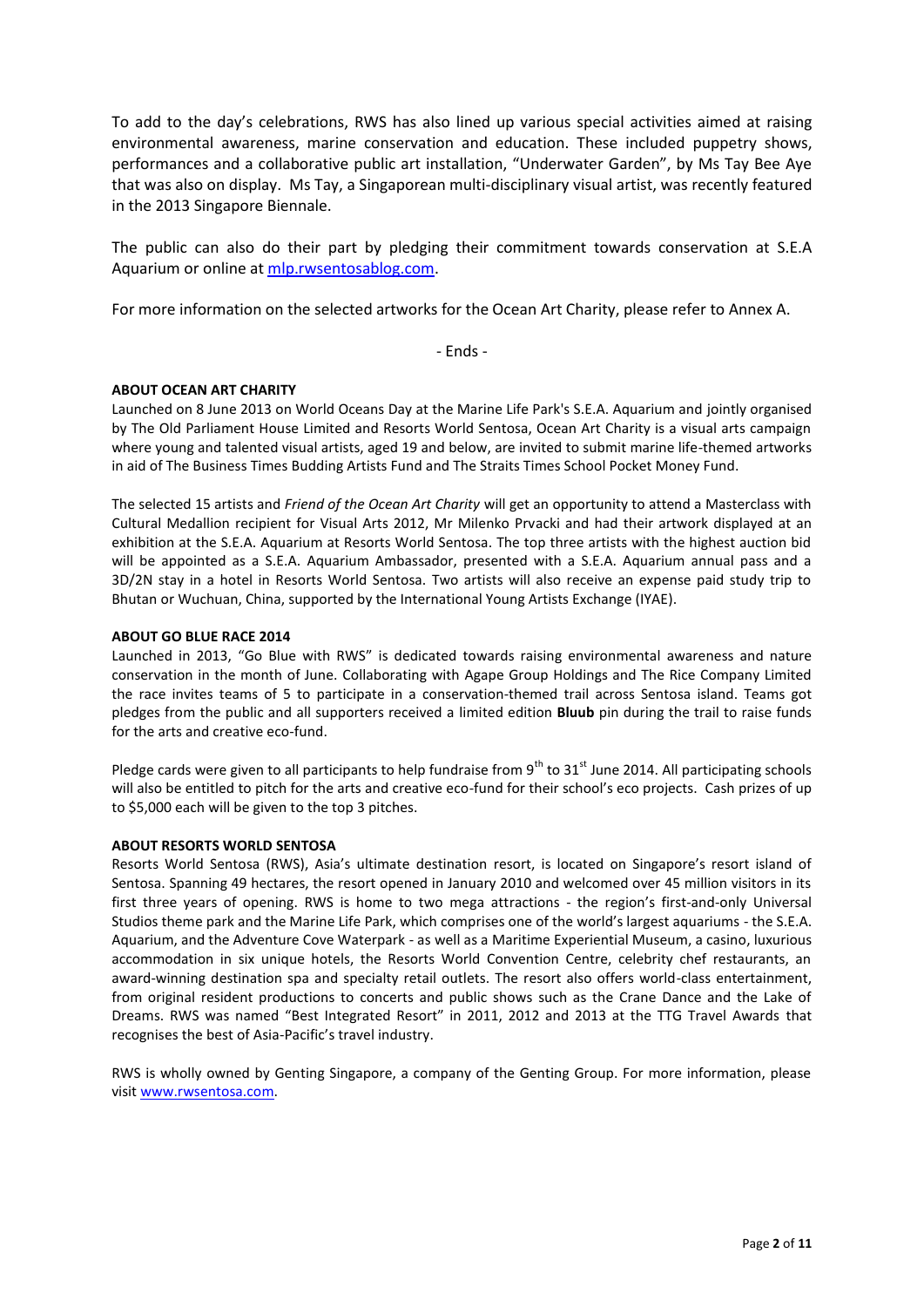To add to the day's celebrations, RWS has also lined up various special activities aimed at raising environmental awareness, marine conservation and education. These included puppetry shows, performances and a collaborative public art installation, "Underwater Garden", by Ms Tay Bee Aye that was also on display. Ms Tay, a Singaporean multi-disciplinary visual artist, was recently featured in the 2013 Singapore Biennale.

The public can also do their part by pledging their commitment towards conservation at S.E.A Aquarium or online a[t mlp.rwsentosablog.com.](http://mlp.rwsentosablog.com/)

For more information on the selected artworks for the Ocean Art Charity, please refer to Annex A.

- Ends -

#### **ABOUT OCEAN ART CHARITY**

Launched on 8 June 2013 on World Oceans Day at the Marine Life Park's S.E.A. Aquarium and jointly organised by The Old Parliament House Limited and Resorts World Sentosa, Ocean Art Charity is a visual arts campaign where young and talented visual artists, aged 19 and below, are invited to submit marine life-themed artworks in aid of The Business Times Budding Artists Fund and The Straits Times School Pocket Money Fund.

The selected 15 artists and *Friend of the Ocean Art Charity* will get an opportunity to attend a Masterclass with Cultural Medallion recipient for Visual Arts 2012, Mr Milenko Prvacki and had their artwork displayed at an exhibition at the S.E.A. Aquarium at Resorts World Sentosa. The top three artists with the highest auction bid will be appointed as a S.E.A. Aquarium Ambassador, presented with a S.E.A. Aquarium annual pass and a 3D/2N stay in a hotel in Resorts World Sentosa. Two artists will also receive an expense paid study trip to Bhutan or Wuchuan, China, supported by the International Young Artists Exchange (IYAE).

#### **ABOUT GO BLUE RACE 2014**

Launched in 2013, "Go Blue with RWS" is dedicated towards raising environmental awareness and nature conservation in the month of June. Collaborating with Agape Group Holdings and The Rice Company Limited the race invites teams of 5 to participate in a conservation-themed trail across Sentosa island. Teams got pledges from the public and all supporters received a limited edition **Bluub** pin during the trail to raise funds for the arts and creative eco-fund.

Pledge cards were given to all participants to help fundraise from  $9<sup>th</sup>$  to  $31<sup>st</sup>$  June 2014. All participating schools will also be entitled to pitch for the arts and creative eco-fund for their school's eco projects. Cash prizes of up to \$5,000 each will be given to the top 3 pitches.

#### **ABOUT RESORTS WORLD SENTOSA**

Resorts World Sentosa (RWS), Asia's ultimate destination resort, is located on Singapore's resort island of Sentosa. Spanning 49 hectares, the resort opened in January 2010 and welcomed over 45 million visitors in its first three years of opening. RWS is home to two mega attractions - the region's first-and-only Universal Studios theme park and the Marine Life Park, which comprises one of the world's largest aquariums - the S.E.A. Aquarium, and the Adventure Cove Waterpark - as well as a Maritime Experiential Museum, a casino, luxurious accommodation in six unique hotels, the Resorts World Convention Centre, celebrity chef restaurants, an award-winning destination spa and specialty retail outlets. The resort also offers world-class entertainment, from original resident productions to concerts and public shows such as the Crane Dance and the Lake of Dreams. RWS was named "Best Integrated Resort" in 2011, 2012 and 2013 at the TTG Travel Awards that recognises the best of Asia-Pacific's travel industry.

RWS is wholly owned by Genting Singapore, a company of the Genting Group. For more information, please visi[t www.rwsentosa.com.](http://www.rwsentosa.com/)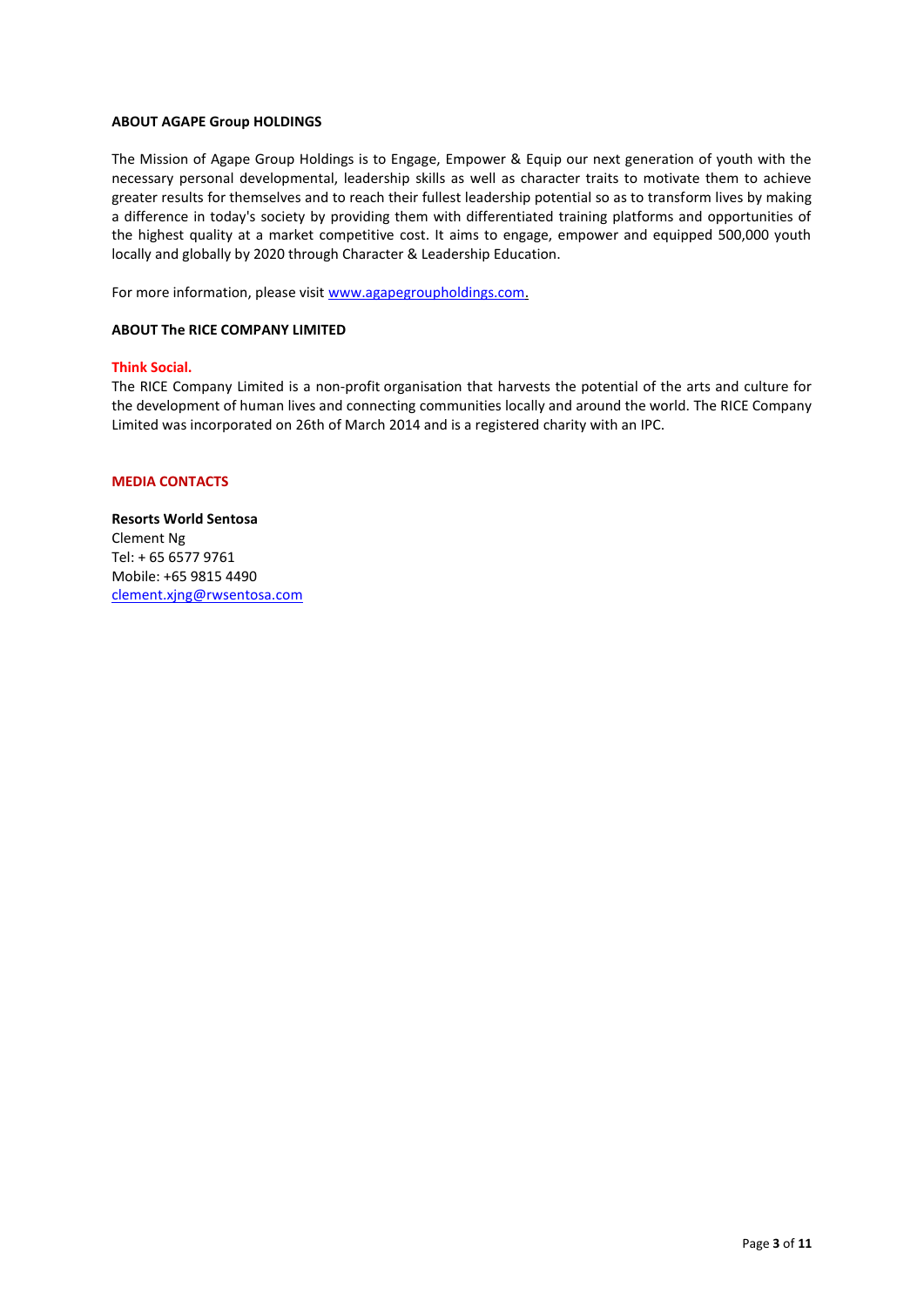#### **ABOUT AGAPE Group HOLDINGS**

The Mission of Agape Group Holdings is to Engage, Empower & Equip our next generation of youth with the necessary personal developmental, leadership skills as well as character traits to motivate them to achieve greater results for themselves and to reach their fullest leadership potential so as to transform lives by making a difference in today's society by providing them with differentiated training platforms and opportunities of the highest quality at a market competitive cost. It aims to engage, empower and equipped 500,000 youth locally and globally by 2020 through Character & Leadership Education.

For more information, please visit [www.agapegroupholdings.com.](http://www.agapegroupholdings.com/) 

#### **ABOUT The RICE COMPANY LIMITED**

#### **Think Social.**

The RICE Company Limited is a non-profit organisation that harvests the potential of the arts and culture for the development of human lives and connecting communities locally and around the world. The RICE Company Limited was incorporated on 26th of March 2014 and is a registered charity with an IPC.

#### **MEDIA CONTACTS**

**Resorts World Sentosa** Clement Ng Tel: + 65 6577 9761 Mobile: +65 9815 4490 [clement.xjng@rwsentosa.com](mailto:clement.xjng@rwsentosa.com)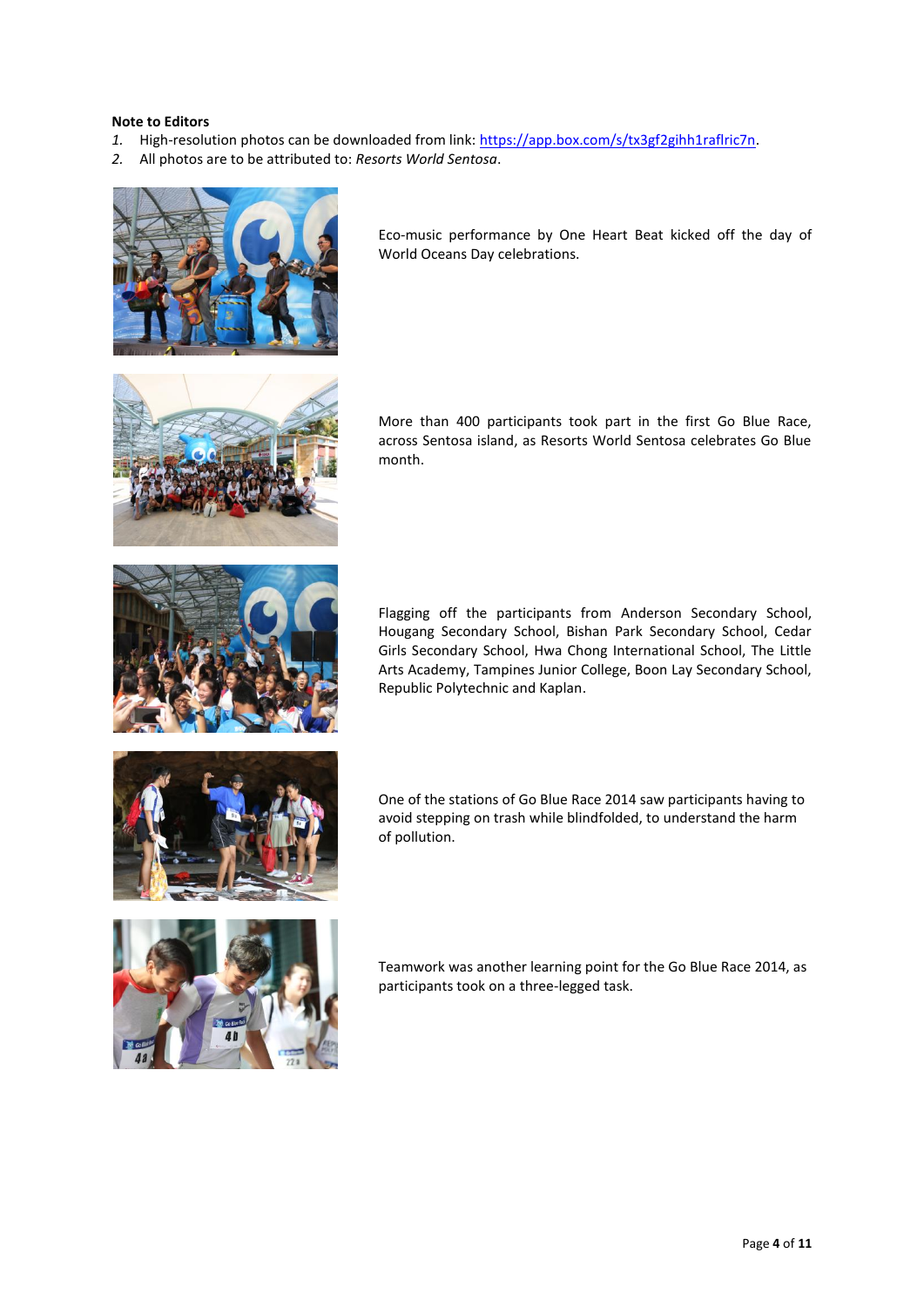#### **Note to Editors**

- *1.* High-resolution photos can be downloaded from link: [https://app.box.com/s/tx3gf2gihh1raflric7n.](https://app.box.com/s/tx3gf2gihh1raflric7n)
- *2.* All photos are to be attributed to: *Resorts World Sentosa*.



Eco-music performance by One Heart Beat kicked off the day of World Oceans Day celebrations.



More than 400 participants took part in the first Go Blue Race, across Sentosa island, as Resorts World Sentosa celebrates Go Blue month.

Flagging off the participants from Anderson Secondary School, Hougang Secondary School, Bishan Park Secondary School, Cedar Girls Secondary School, Hwa Chong International School, The Little Arts Academy, Tampines Junior College, Boon Lay Secondary School, Republic Polytechnic and Kaplan.



One of the stations of Go Blue Race 2014 saw participants having to avoid stepping on trash while blindfolded, to understand the harm of pollution.



Teamwork was another learning point for the Go Blue Race 2014, as participants took on a three-legged task.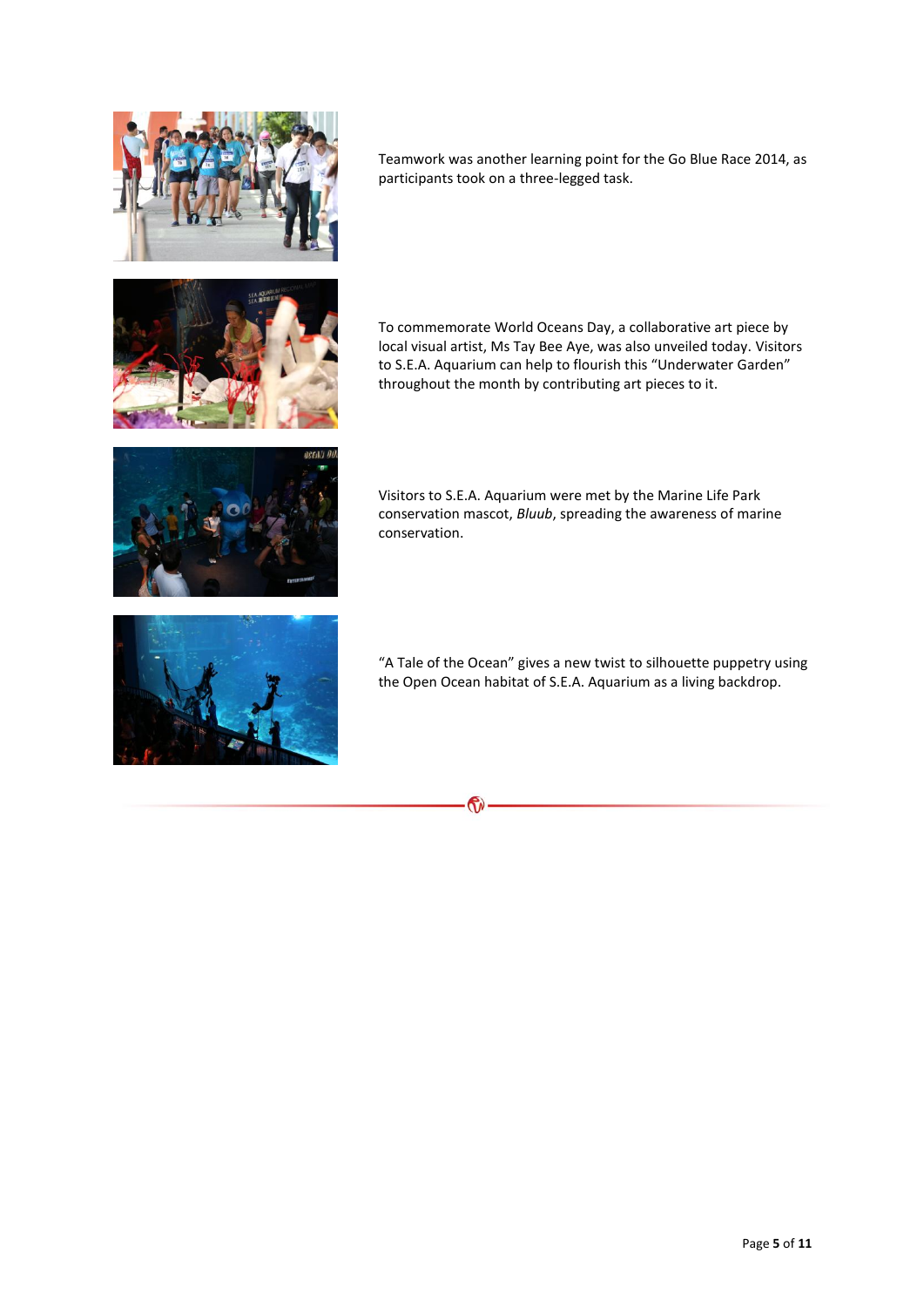

Teamwork was another learning point for the Go Blue Race 2014, as participants took on a three-legged task.



To commemorate World Oceans Day, a collaborative art piece by local visual artist, Ms Tay Bee Aye, was also unveiled today. Visitors to S.E.A. Aquarium can help to flourish this "Underwater Garden" throughout the month by contributing art pieces to it.



Visitors to S.E.A. Aquarium were met by the Marine Life Park conservation mascot, *Bluub*, spreading the awareness of marine conservation.



"A Tale of the Ocean" gives a new twist to silhouette puppetry using the Open Ocean habitat of S.E.A. Aquarium as a living backdrop.

 $\mathbf{G}$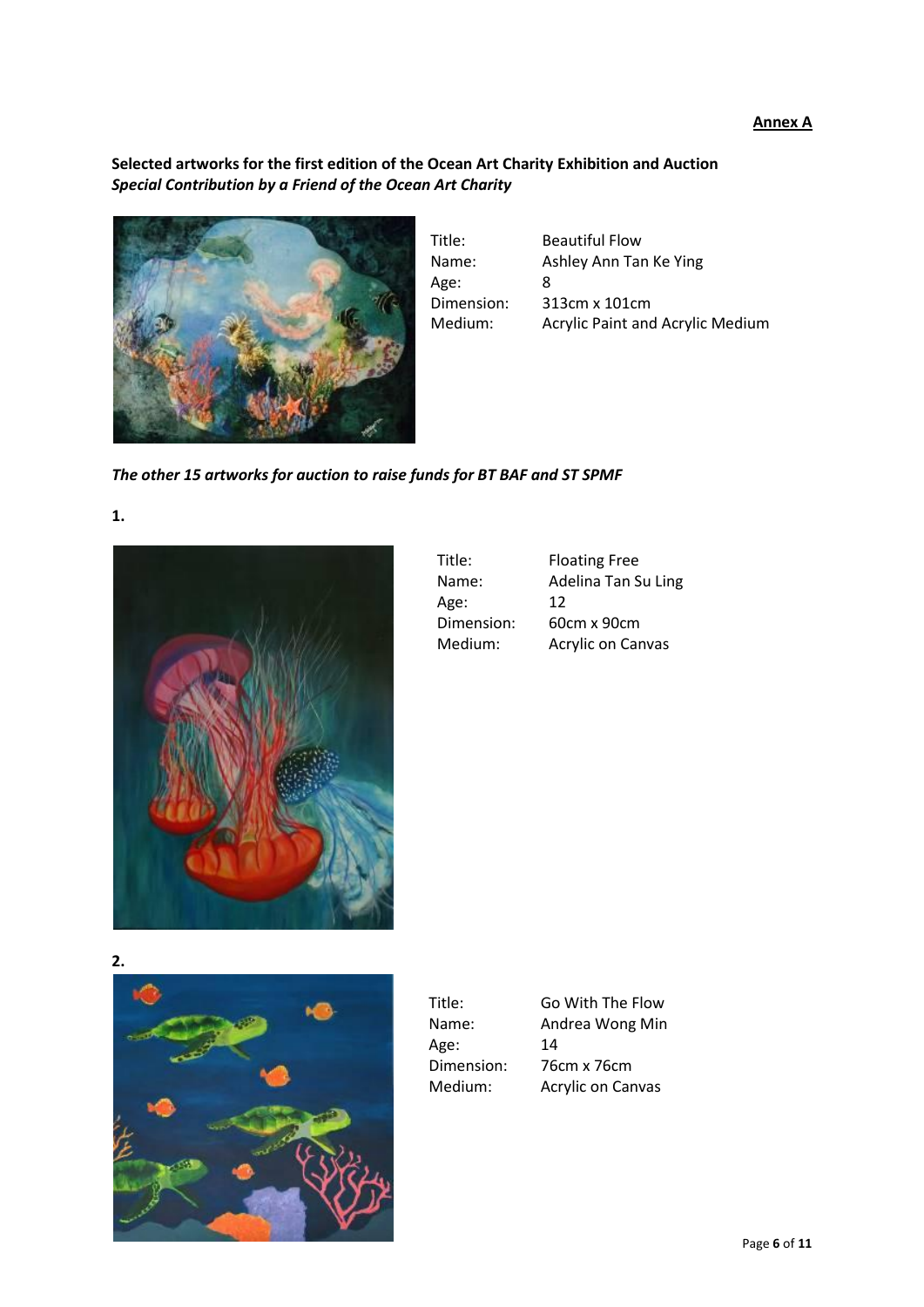#### **Annex A**

## **Selected artworks for the first edition of the Ocean Art Charity Exhibition and Auction** *Special Contribution by a Friend of the Ocean Art Charity*



| <b>Beautiful Flow</b>                   |
|-----------------------------------------|
| Ashley Ann Tan Ke Ying                  |
| 8                                       |
| 313cm x 101cm                           |
| <b>Acrylic Paint and Acrylic Medium</b> |
|                                         |

*The other 15 artworks for auction to raise funds for BT BAF and ST SPMF*

#### **1.**



| Title:     | <b>Floating Free</b> |
|------------|----------------------|
| Name:      | Adelina Tan Su Ling  |
| Age:       | 12                   |
| Dimension: | 60cm x 90cm          |
| Medium:    | Acrylic on Canvas    |

**2.** 



| Title:     | Go With The Flow  |
|------------|-------------------|
| Name:      | Andrea Wong Min   |
| Age:       | 14                |
| Dimension: | 76cm x 76cm       |
| Medium:    | Acrylic on Canvas |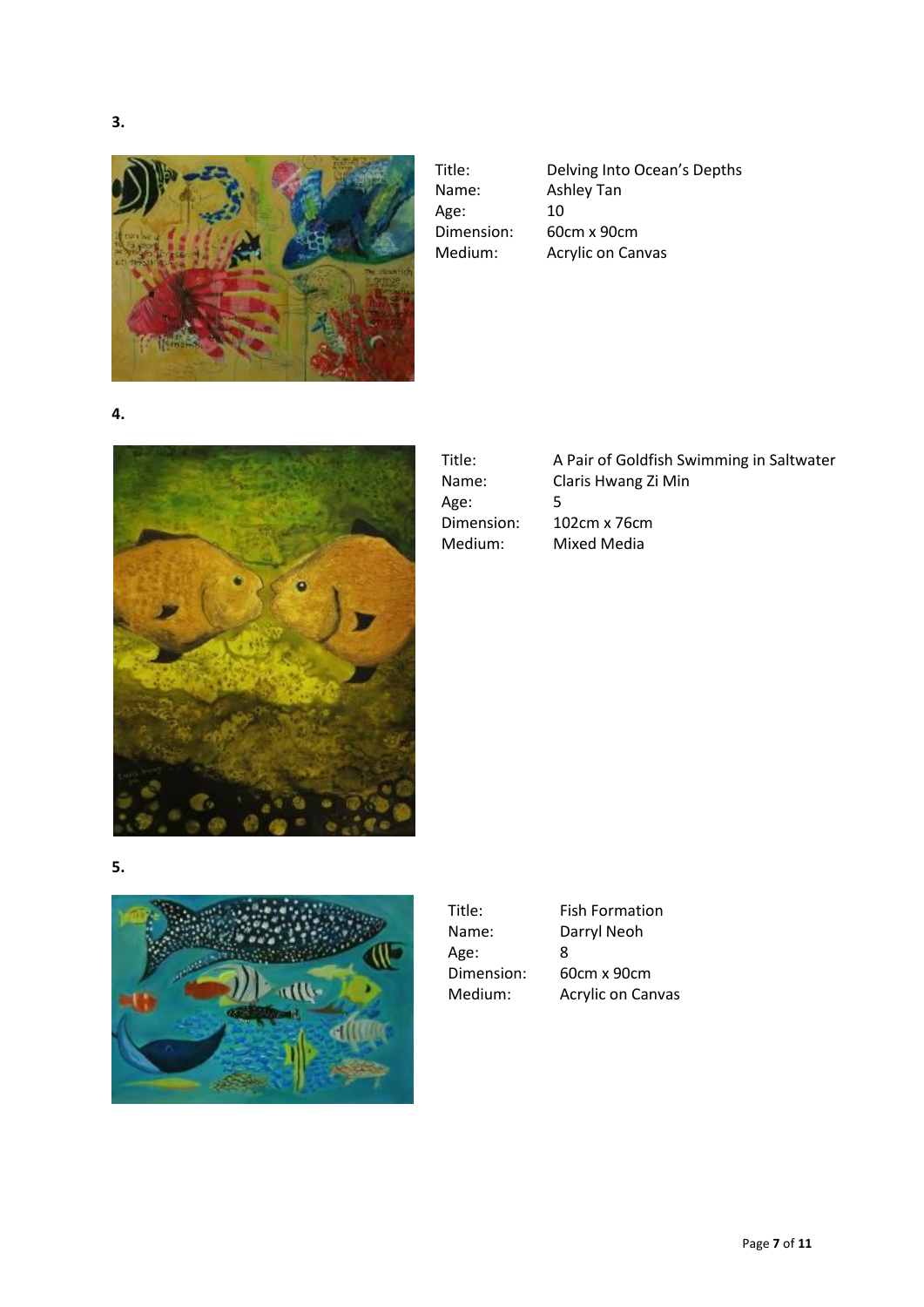

Age: 10

Title: Delving Into Ocean's Depths<br>Name: Ashley Tan Ashley Tan Dimension: 60cm x 90cm<br>Medium: Acrylic on Can Acrylic on Canvas

**4.**



| Title:     | A Pair of Goldfish Swimming in Saltwater |
|------------|------------------------------------------|
| Name:      | Claris Hwang Zi Min                      |
| Age:       | 5                                        |
| Dimension: | 102cm x 76cm                             |
| Medium:    | Mixed Media                              |

**5.**



| Title:     | F |
|------------|---|
| Name:      | Е |
| Age:       | 8 |
| Dimension: | 6 |
| Medium:    |   |
|            |   |

Fish Formation Darryl Neoh 60cm x 90cm Acrylic on Canvas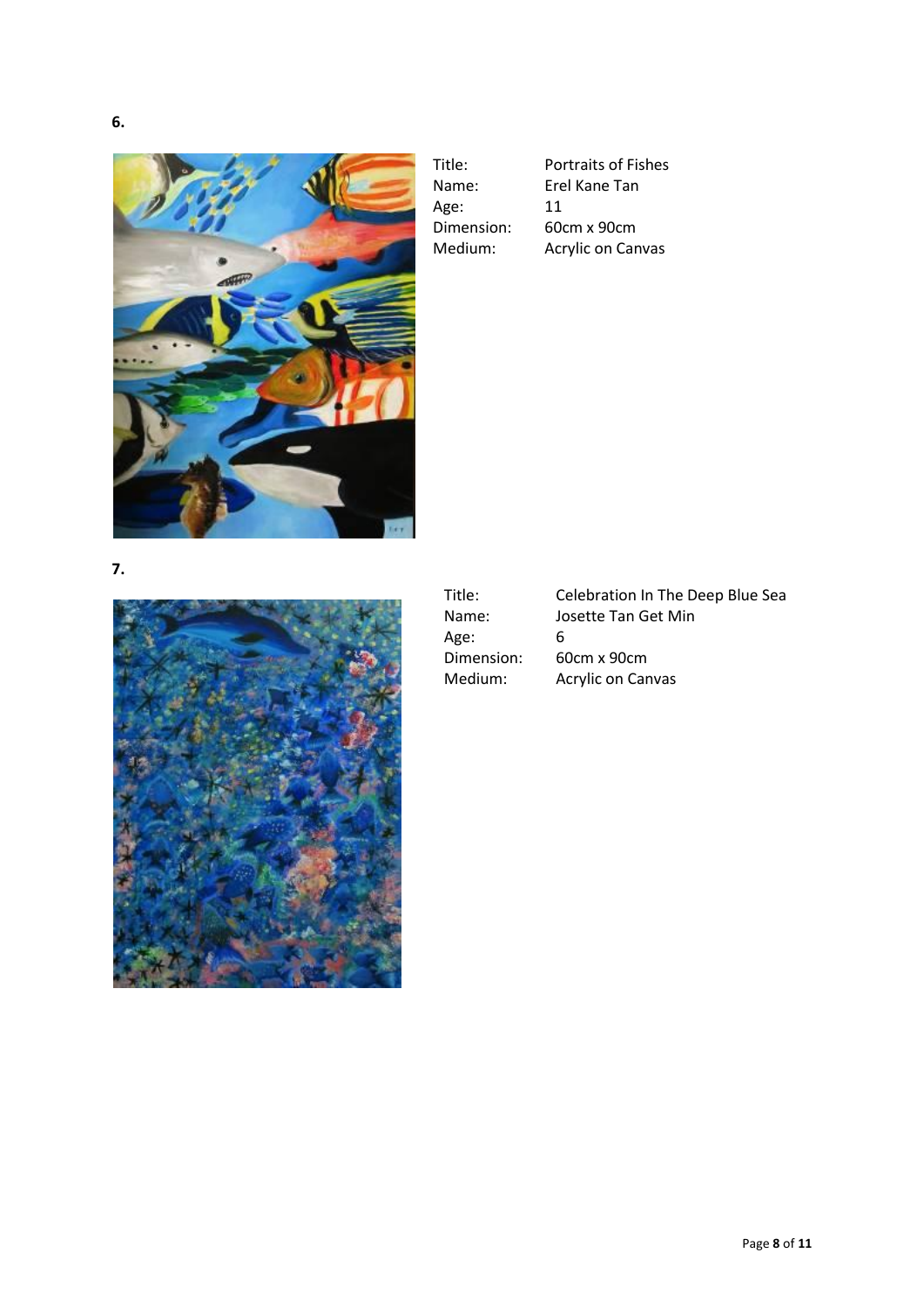**6.**



Age: 11

Title: Portraits of Fishes Name: Erel Kane Tan Dimension: 60cm x 90cm<br>Medium: Acrylic on Can Acrylic on Canvas

**7.**



Title: Celebration In The Deep Blue Sea Name: Josette Tan Get Min<br>Age: 6 Age:<br>Dimension: 60cm x 90cm Medium: Acrylic on Canvas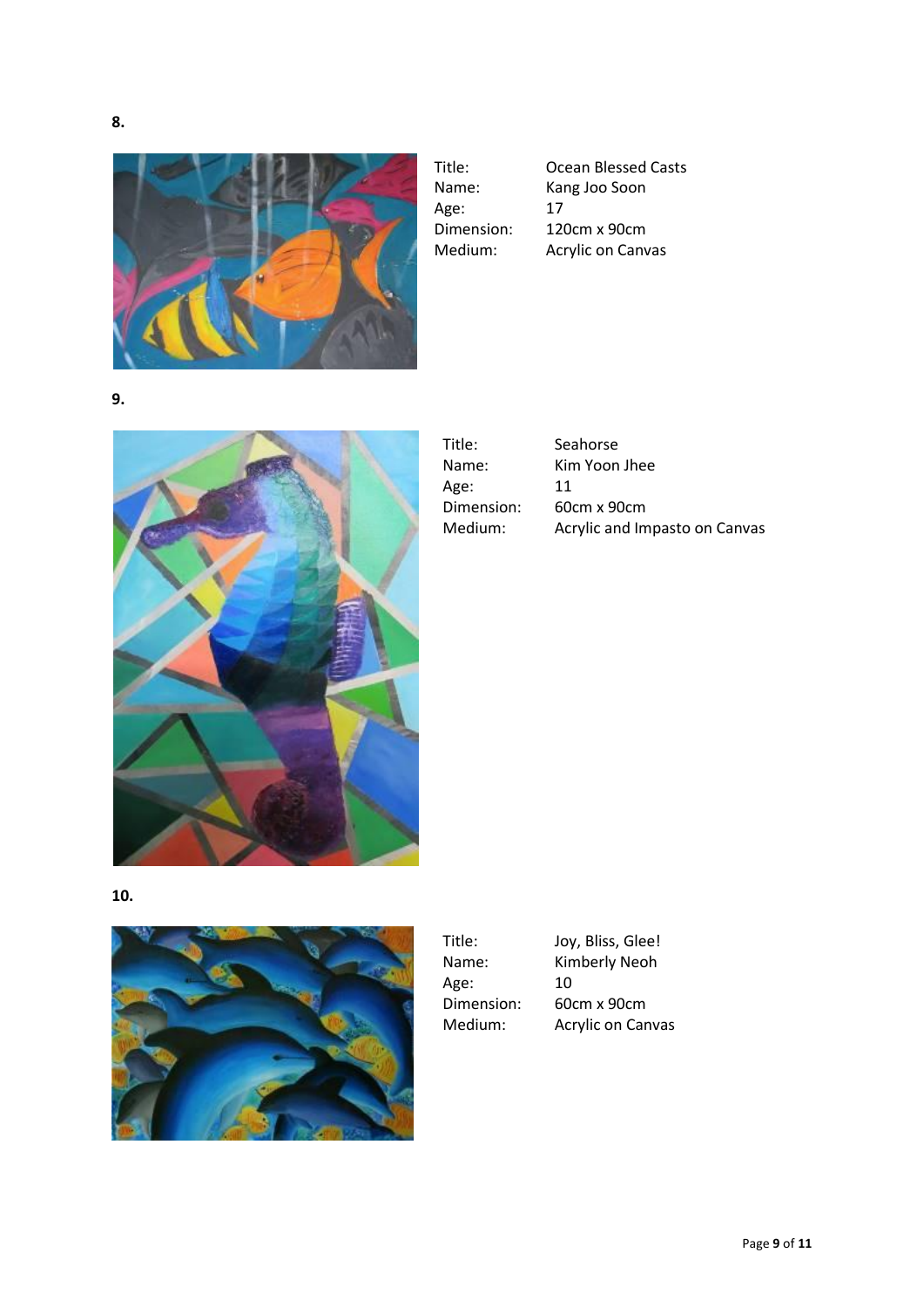

Age: 17

Title: Ocean Blessed Casts<br>Name: Kang Joo Soon Kang Joo Soon Dimension: 120cm x 90cm Medium: Acrylic on Canvas

**9.**



| Title:     | Seahorse                      |
|------------|-------------------------------|
| Name:      | Kim Yoon Jhee                 |
| Age:       | 11                            |
| Dimension: | 60cm x 90cm                   |
| Medium:    | Acrylic and Impasto on Canvas |

**10.**



Title: Joy, Bliss, Glee!<br>Name: Kimberly Neoh Age: Dimension: 60cm x 90cm

Kimberly Neoh<br>10 Medium: Acrylic on Canvas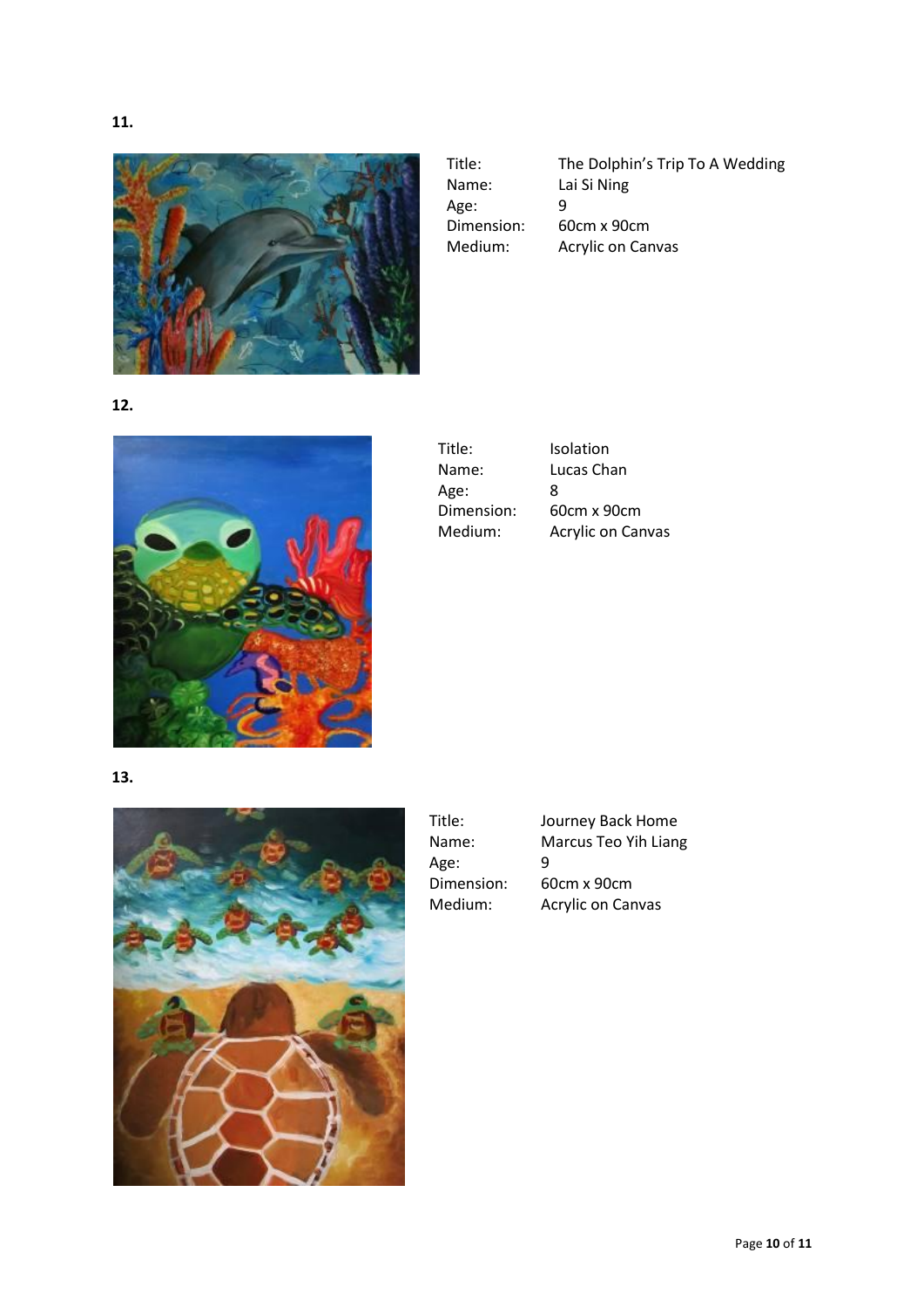



Title: The Dolphin's Trip To A Wedding Name: Lai Si Ning Age: 9<br>Dimension: 60cm x 90cm Dimension: Medium: Acrylic on Canvas

**12.**



| Title:     | Isolation                |
|------------|--------------------------|
| Name:      | Lucas Chan               |
| Age:       | 8                        |
| Dimension: | 60cm x 90cm              |
| Medium:    | <b>Acrylic on Canvas</b> |

**13.**



| Title:     | Journey Back Home        |
|------------|--------------------------|
| Name:      | Marcus Teo Yih Liang     |
| Age:       | q                        |
| Dimension: | 60cm x 90cm              |
| Medium:    | <b>Acrylic on Canvas</b> |
|            |                          |